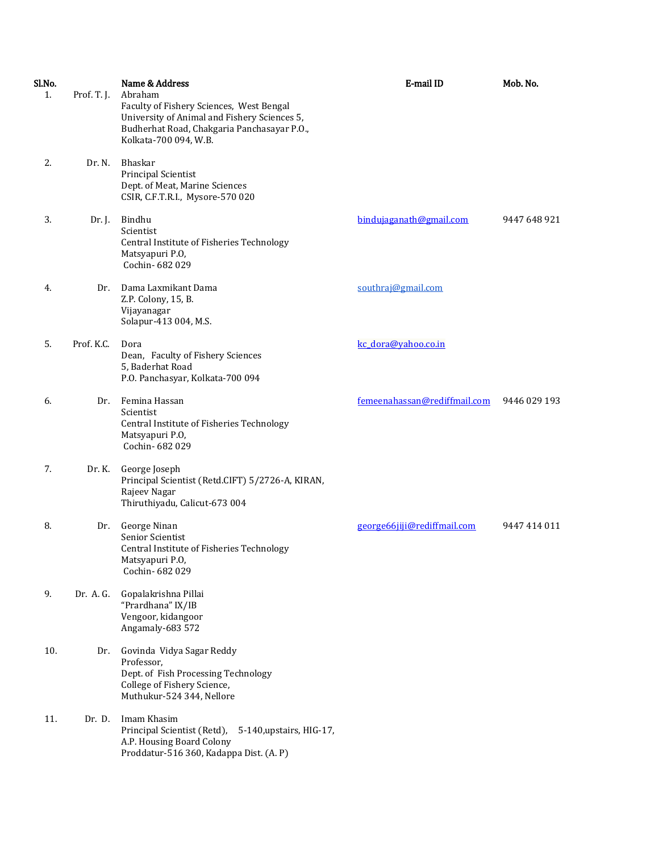| Sl.No.<br>1. | Prof. T. J. | Name & Address<br>Abraham<br>Faculty of Fishery Sciences, West Bengal<br>University of Animal and Fishery Sciences 5,<br>Budherhat Road, Chakgaria Panchasayar P.O., | E-mail ID                    | Mob. No.     |
|--------------|-------------|----------------------------------------------------------------------------------------------------------------------------------------------------------------------|------------------------------|--------------|
| 2.           | Dr. N.      | Kolkata-700 094, W.B.<br>Bhaskar<br><b>Principal Scientist</b><br>Dept. of Meat, Marine Sciences<br>CSIR, C.F.T.R.I., Mysore-570 020                                 |                              |              |
| 3.           | Dr. J.      | Bindhu<br>Scientist<br>Central Institute of Fisheries Technology<br>Matsyapuri P.O,<br>Cochin-682029                                                                 | bindujaganath@gmail.com      | 9447 648 921 |
| 4.           | Dr.         | Dama Laxmikant Dama<br>Z.P. Colony, 15, B.<br>Vijayanagar<br>Solapur-413 004, M.S.                                                                                   | southraj@gmail.com           |              |
| 5.           | Prof. K.C.  | Dora<br>Dean, Faculty of Fishery Sciences<br>5, Baderhat Road<br>P.O. Panchasyar, Kolkata-700 094                                                                    | kc dora@vahoo.co.in          |              |
| 6.           | Dr.         | Femina Hassan<br>Scientist<br>Central Institute of Fisheries Technology<br>Matsyapuri P.O,<br>Cochin-682029                                                          | femeenahassan@rediffmail.com | 9446 029 193 |
| 7.           | Dr. K.      | George Joseph<br>Principal Scientist (Retd.CIFT) 5/2726-A, KIRAN,<br>Rajeev Nagar<br>Thiruthiyadu, Calicut-673 004                                                   |                              |              |
| 8.           | Dr.         | George Ninan<br>Senior Scientist<br>Central Institute of Fisheries Technology<br>Matsyapuri P.O,<br>Cochin- 682 029                                                  | george66jijj@rediffmail.com  | 9447 414 011 |
| 9.           | Dr. A. G.   | Gopalakrishna Pillai<br>"Prardhana" IX/IB<br>Vengoor, kidangoor<br>Angamaly-683 572                                                                                  |                              |              |
| 10.          | Dr.         | Govinda Vidya Sagar Reddy<br>Professor,<br>Dept. of Fish Processing Technology<br>College of Fishery Science,<br>Muthukur-524 344, Nellore                           |                              |              |
| 11.          | Dr. D.      | Imam Khasim<br>Principal Scientist (Retd),<br>5-140, upstairs, HIG-17,<br>A.P. Housing Board Colony<br>Proddatur-516 360, Kadappa Dist. (A. P)                       |                              |              |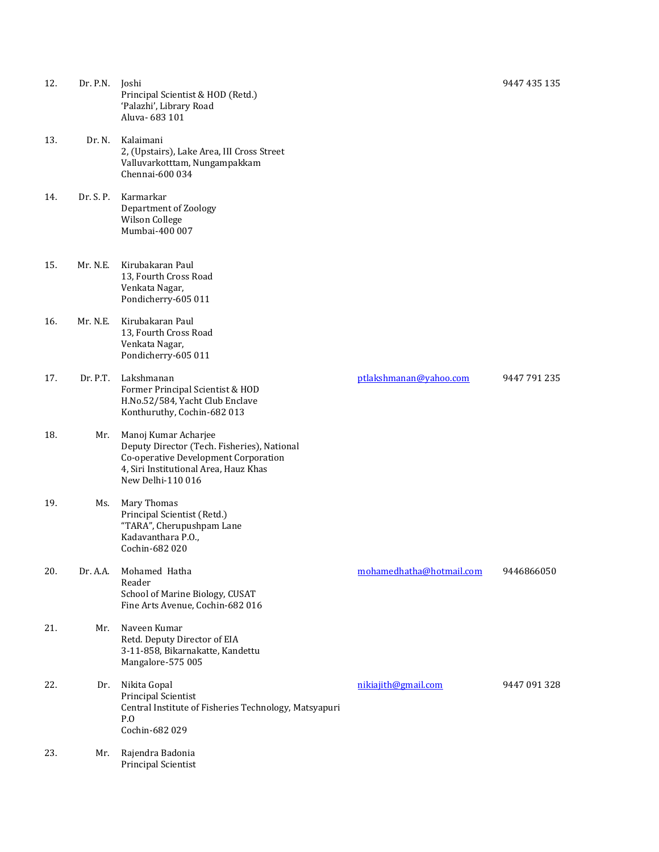| 12. | Dr. P.N.  | Joshi<br>Principal Scientist & HOD (Retd.)<br>'Palazhi', Library Road<br>Aluva-683 101                                                                                    |                          | 9447 435 135 |
|-----|-----------|---------------------------------------------------------------------------------------------------------------------------------------------------------------------------|--------------------------|--------------|
| 13. | Dr. N.    | Kalaimani<br>2, (Upstairs), Lake Area, III Cross Street<br>Valluvarkotttam, Nungampakkam<br>Chennai-600 034                                                               |                          |              |
| 14. | Dr. S. P. | Karmarkar<br>Department of Zoology<br>Wilson College<br>Mumbai-400 007                                                                                                    |                          |              |
| 15. | Mr. N.E.  | Kirubakaran Paul<br>13, Fourth Cross Road<br>Venkata Nagar,<br>Pondicherry-605 011                                                                                        |                          |              |
| 16. | Mr. N.E.  | Kirubakaran Paul<br>13, Fourth Cross Road<br>Venkata Nagar,<br>Pondicherry-605 011                                                                                        |                          |              |
| 17. | Dr. P.T.  | Lakshmanan<br>Former Principal Scientist & HOD<br>H.No.52/584, Yacht Club Enclave<br>Konthuruthy, Cochin-682 013                                                          | ptlakshmanan@yahoo.com   | 9447 791 235 |
| 18. | Mr.       | Manoj Kumar Acharjee<br>Deputy Director (Tech. Fisheries), National<br>Co-operative Development Corporation<br>4, Siri Institutional Area, Hauz Khas<br>New Delhi-110 016 |                          |              |
| 19. | Ms.       | Mary Thomas<br>Principal Scientist (Retd.)<br>"TARA", Cherupushpam Lane<br>Kadavanthara P.O.,<br>Cochin-682 020                                                           |                          |              |
| 20. | Dr. A.A.  | Mohamed Hatha<br>Reader<br>School of Marine Biology, CUSAT<br>Fine Arts Avenue, Cochin-682 016                                                                            | mohamedhatha@hotmail.com | 9446866050   |
| 21. | Mr.       | Naveen Kumar<br>Retd. Deputy Director of EIA<br>3-11-858, Bikarnakatte, Kandettu<br>Mangalore-575 005                                                                     |                          |              |
| 22. | Dr.       | Nikita Gopal<br><b>Principal Scientist</b><br>Central Institute of Fisheries Technology, Matsyapuri<br>P.O<br>Cochin-682 029                                              | nikiajith@gmail.com      | 9447 091 328 |
| 23. | Mr.       | Rajendra Badonia<br><b>Principal Scientist</b>                                                                                                                            |                          |              |